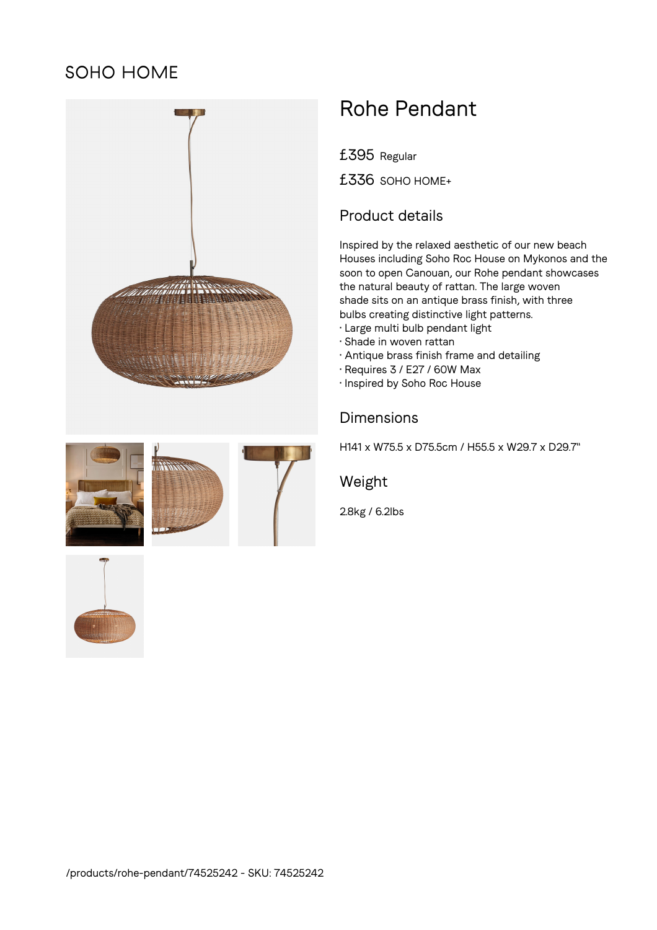## SOHO HOME



# Rohe Pendant

£395 Regular

£336 SOHO HOME+

### Product details

Inspired by the relaxed aesthetic of our new beach Houses including Soho Roc House on Mykonos and the soon to open Canouan, our Rohe pendant showcases the natural beauty of rattan. The large woven shade sits on an antique brass finish, with three bulbs creating distinctive light patterns.

- Large multi bulb pendant light
- Shade in woven rattan
- Antique brass finish frame and detailing
- Requires 3 / E27 / 60W Max
- Inspired by Soho Roc House

#### Dimensions

H141 x W75.5 x D75.5cm / H55.5 x W29.7 x D29.7"

#### Weight

2.8kg / 6.2lbs